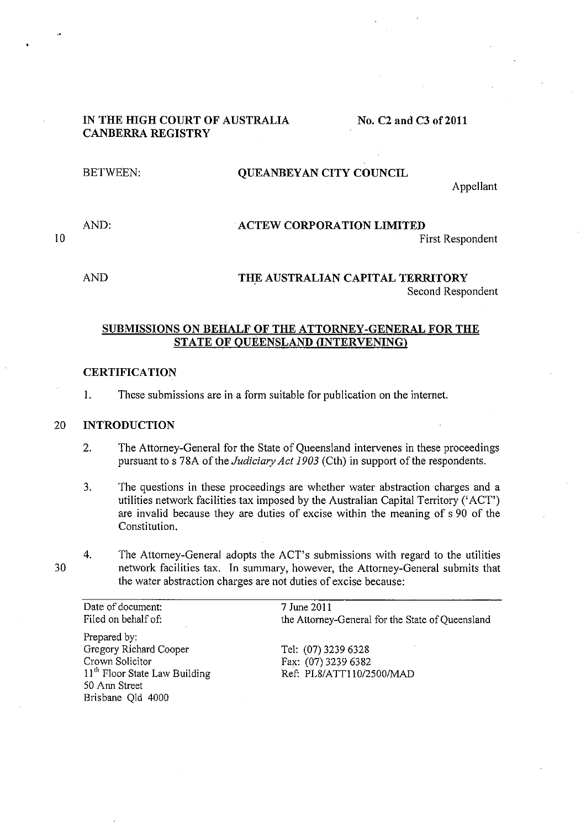# IN THE HIGH COURT OF AUSTRALIA CANBERRA REGISTRY

No. C2 and C3 of 2011

# BETWEEN: QUEANBEYAN CITY COUNCIL Appellant

### AND: ACTEW CORPORATION LIMITED First Respondent

AND

10

THE AUSTRALIAN CAPITAL TERRITORY Second Respondent

# SUBMISSIONS ON BEHALF OF THE ATTORNEY-GENERAL FOR THE STATE OF OUEENSLAND (INTERVENING)

# **CERTIFICATION**

I. These submissions are in a form suitable for publication on the internet.

# 20 INTRODUCTION

- 2. The Attorney-General for the State of Queensland intervenes in these proceedings pursuant to s 78A of the *Judiciary Act 1903* (Cth) in support of the respondents.
- 3. The questions in these proceedings are whether water abstraction charges and a utilities network facilities tax imposed by the Australian Capital Territory (' ACT') are invalid because they are duties of excise within the meaning of s 90 of the Constitution.
- 4. The Attorney-General adopts the ACT's submissions with regard to the utilities network facilities tax. In summary, however, the Attorney-General submits that the water abstraction charges are not duties of excise because:

Date of document: Filed on behalf of:

Prepared by: Gregory Richard Cooper Crown Solicitor 11<sup>th</sup> Floor State Law Building 50 Ann Street Brisbane Qld 4000

7 June 2011 the Attorney-General for the State of Queensland

Tel: (07) 3239 6328 Fax: (07) 3239 6382 Ref: *PL8/ATTl1012500IMAD*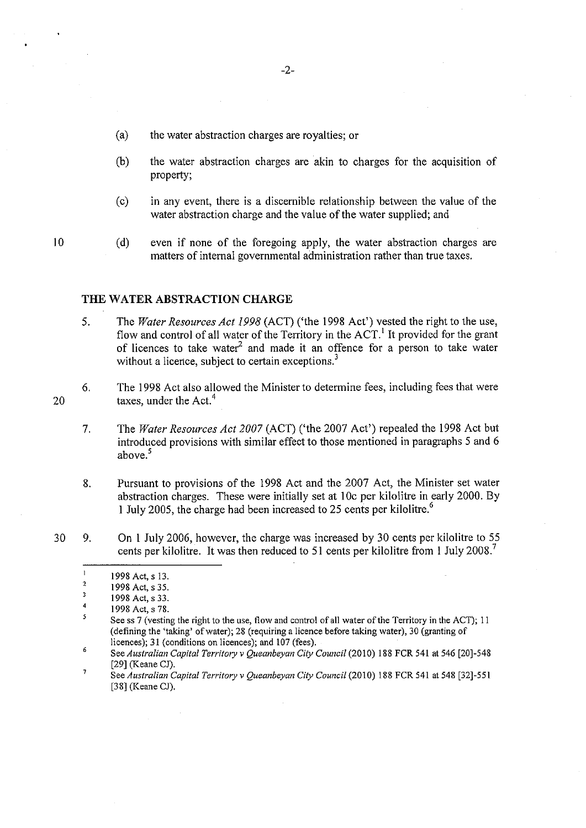- (a) the water abstraction charges are royalties; or
- (b) the water abstraction charges are akin to charges for the acquisition of property;
- (c) in any event, there is a discernible relationship between the value of the water abstraction charge and the value of the water supplied; and
- (d) even if none of the foregoing apply, the water abstraction charges are matters of internal governmental administration rather than true taxes.

#### **THE WATER ABSTRACTION CHARGE**

- 5. The *Water Resources Act* 1998 (ACT) ('the 1998 Act') vested the right to the use, flow and control of all water of the Territory in the  $ACT<sup>1</sup>$  It provided for the grant of licences to take water<sup>2</sup> and made it an offence for a person to take water without a licence, subject to certain exceptions.<sup>3</sup>
- 6. The 1998 Act also allowed the Minister to determine fees, including fees that were taxes, under the Act.<sup>4</sup>
- 7. The *Water Resources Act 2007* (ACT) ('the 2007 Act') repealed the 1998 Act but introduced provisions with similar effect to those mentioned in paragraphs 5 and 6 ahove $<sup>5</sup>$ </sup>

8. Pursuant to provisions of the 1998 Act and the 2007 Act, the Minister set water abstraction charges. These were initially set at 10c per kilolitre in early 2000. By 1 July 2005, the charge had been increased to 25 cents per kilolitre.<sup>6</sup>

30 9. On I July 2006, however, the charge was increased by 30 cents per kilolitre to 55 cents per kilolitre. It was then reduced to 51 cents per kilolitre from 1 July 2008.<sup>7</sup>

10

 $\mathbf{1}$ 1998 Act, s 13.

<sup>2</sup>  1998 Act, s 35.

 $\mathbf 3$ 1998 Act, s 33.

<sup>4</sup>  1998 Act, s 78.

<sup>5</sup>  See ss 7 (vesting the right to the use, flow and control of all water of the Territory in the ACT); **II**  (defining the 'taking' of water); 28 (requiring a licence before taking water), 30 (granting of licences); 31 (conditions on licences); and 107 (fees).

<sup>6</sup>  See *Australian Capital Territory* v *Queanbeyan City Council* (2010) 188 FCR 541 at 546 [20]-548 [29] (Keane CJ).  $\overline{7}$ 

See *Australian Capital Territory* v *Queanbeyan City Council* (2010) 188 FCR 541 at 548 [32]-551 [38] (Keane CJ).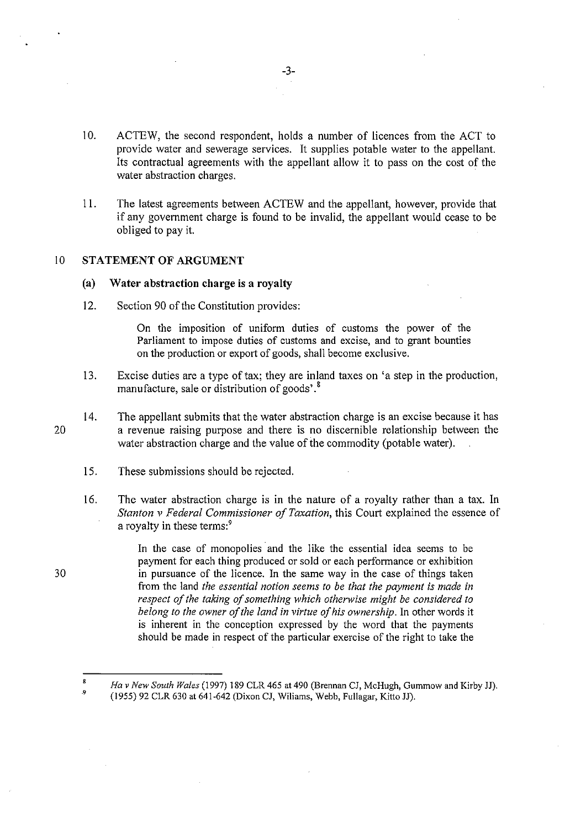- 10. ACTEW, the second respondent, holds a number of licences from the ACT to provide water and sewerage services. It supplies potable water to the appellant. Its contractual agreements with the appellant allow it to pass on the cost of the water abstraction charges.
- 11. The latest agreements between ACTEW and the appellant, however, provide that if any government charge is found to be invalid, the appellant would cease to be obliged to pay it.

#### ID STATEMENT **OF** ARGUMENT

#### (a) **Water** abstraction charge is a royalty

12. Section 90 of the Constitution provides:

On the imposition of uniform duties of customs the power of the Parliament to impose duties of customs and excise, and to grant bounties on the production or export of goods, shall become exclusive.

- 13. Excise duties are a type of tax; they are inland taxes on 'a step in the production, manufacture, sale or distribution of goods'.<sup>8</sup>
- 14. The appellant submits that the water abstraction charge is an excise because it has a revenue raising purpose and there is no discernible relationship between the water abstraction charge and the value of the commodity (potable water).
	- 15. These submissions should be rejected.
	- 16. The water abstraction charge is in the nature of a royalty rather than a tax. In *Stanton v Federal Commissioner of Taxation,* this Court explained the essence of a royalty in these terms:<sup>9</sup>

In the case of monopolies and the like the essential idea seems to be payment for each thing produced or sold or each performance or exhibition in pursuance of the licence. In the same way in the case of things taken from the land *the essential notion seems to be that the payment is made in respect of the taking of something which otherwise might be considered to belong to the owner of the land in virtue of his ownership.* In other words it is inherent in the conception expressed by the word that the payments should be made in respect of the particular exercise of the right to take the

20

 $\mathbf{\hat{z}}$ *Ha v New South Wales* (1997) 189 CLR 465 at 490 (Brennan CJ, McHugh, Gummow and Kirby JJ). 9 (1955) 92 CLR 630 at 641-642 (Dixon CJ, Wiliams, Webb, FulIagar, Kilto JJ).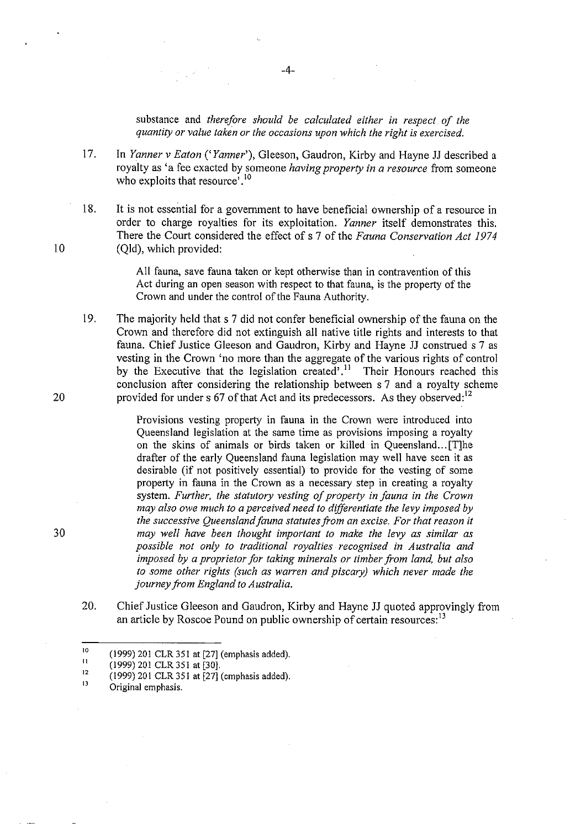substance and *therefore should be calculated either in respect of the quantity or value taken or the occasions upon which the right is exercised.* 

- 17. In *Yanner* v *Eaton* (' *Yanner'),* Gleeson, Gaudron, Kirby and Hayne JJ described a royalty as 'a fee exacted by someone *having property in a resource* from someone who exploits that resource<sup>5</sup>.<sup>10</sup>
- 18. It is not essential for a government to have beneficial ownership of a resource in order to charge royalties for its exploitation. *Yanner* itself demonstrates this. There the Court considered the effect of s 7 of the *Fauna Conservation Act 1974*  (Qld), which provided:

All fauna, save fauna taken or kept otherwise than in contravention of this Act during an open season with respect to that fauna, is the property of the Crown and under the control of the Fauna Authority.

19. The majority held that s 7 did not confer beneficial ownership of the fauna on the Crown and therefore did not extinguish all native title rights and interests to that fauna. Chief Justice Gleeson and Gaudron, Kirby and Hayne JJ construed s 7 as vesting in the Crown 'no more than the aggregate of the various rights of control by the Executive that the legislation created'.<sup>11</sup> Their Honours reached this conclusion after considering the relationship between s 7 and a royalty scheme provided for under s 67 of that Act and its predecessors. As they observed:  $12$ 

> Provisions vesting property in fauna in the Crown were introduced into Queensland legislation at the same time as provisions imposing a royalty on the skins of animals or birds taken or killed in Queensland... [T]he drafter of the early Queensland fauna legislation may well have seen it as desirable (if not positively essential) to provide for the vesting of some property in fauna in the Crown as a necessary step in creating a royalty system. *Further, the statutory vesting of property in fauna in the Crown may also owe much to a perceived need to differentiate the levy imposed by the successive Queensland fauna statutes from an excise. For that reason it may well have been thought important to make the levy as similar as*  possible not only to traditional royalties recognised in Australia and *imposed by a proprietor for taking minerals or timber from land, but also to some other rights (such as warren and piscary) which never made the journey from England to Australia.*

20. Chief Justice Gleeson and Gaudron, Kirby and Hayne JJ quoted approvingly from an article by Roscoe Pound on public ownership of certain resources:  $13$ 

10

20

<sup>10</sup>  (1999) 201 CLR 351 at [27] (emphasis added).

<sup>11</sup>  (1999) 201 CLR 351 at [30].

<sup>12</sup>  13 (1999) 201 CLR 351 at [27] (emphasis added).

**Original emphasis.**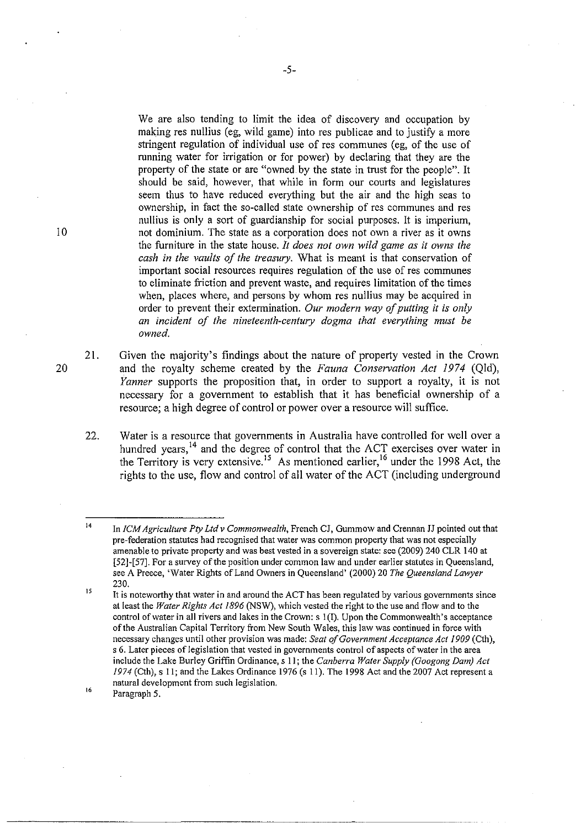We are also tending to limit the idea of discovery and occupation by making res nullius (eg, wild game) into res publicae and to justify a more stringent regulation of individual use of res communes (eg, of the use of running water for irrigation or for power) by declaring that they are the property of the state or are "owned. by the state in trust for the people". It should be said, however, that while in form our courts and legislatures seem thus to have reduced everything but the air and the high seas to ownership, in fact the so-called state ownership of res communes and res nullius is only a sort of guardianship for social purposes. It is imperium, not dominium. The state as a corporation does not own a river as it owns the furniture in the state house. *It does not own wild game as it owns the cash in the vaults of the treasury.* What is meant is that conservation of important social resources requires regulation of the use of res communes to eliminate friction and prevent waste, and requires limitation of the times when, places where, and persons by whom res nullius may be acquired in order to prevent their extermination. *Our modern way of putting it* is *only an incident of the nineteenth-century dogma that everything must be owned.* 

- 21. Given the majority's findings about the nature of property vested in the Crown and the royalty scheme created by the *Fauna Conservation Act* 1974 (Qld), *Yanner* supports the proposition that, in order to support a royalty, it is not necessary for a government to establish that it has beneficial ownership of a resource; a high degree of control or power over a resource will suffice.
- 22. Water is a resource that governments in Australia have controlled for well over a hundred years,<sup>14</sup> and the degree of control that the ACT exercises over water in the Territory is very extensive.<sup>15</sup> As mentioned earlier,<sup>16</sup> under the 1998 Act, the rights to the use, flow and control of all water of the ACT (including underground

16 Paragraph 5.

20

<sup>14</sup>  In *[CM Agriculture Ply Lld v Commonwealth,* French CJ, Gummow and Crennan JJ pointed out that **pre-federation statutes had recognised that water was common property that was not especially**  amenable to private property and was best vested in a sovereign state: see (2009) 240 CLR 140 at [52]-[57]. For a survey of the position under common law and under earlier statutes in Queensland, see A Preece, 'Water Rights of Land Owners in Queensland' (2000) 20 *The Queensland Lawyer*  230.

<sup>15</sup>  **It is noteworthy that water in and around the** *ACT* **has been regulated by various governments since**  at least the *Water Rights Act* 1896 (NSW), which vested the right to the use and flow and to the control of water in all rivers and lakes in the Crown: s 1(1). Upon the Commonwealth's acceptance of the Australian Capital Territory from New South Wales, this law was continued in force with necessary changes until other provision was made: *Seat of Government Acceptance Act 1909* (Cth), s **6. Later pieces of legislation that vested in governments control of aspects** of water **in the area**  include the Lake Burley Griffin Ordinance, s 11; the *Canberra Water Supply (Googong Dam) Act*  1974 (Cth), s 11; and the Lakes Ordinance 1976 (s 11). The 1998 Act and the 2007 Act represent a **natural development from such legislation,**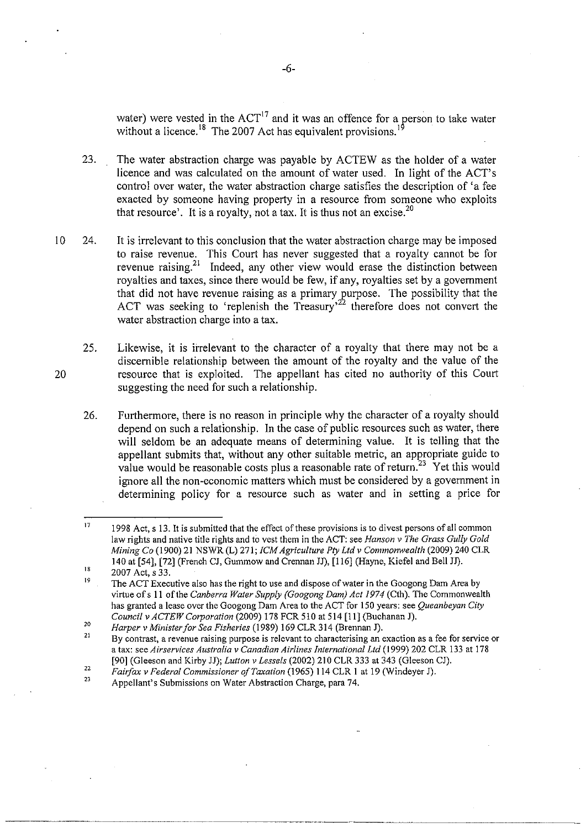water) were vested in the  $ACT<sup>T</sup>$  and it was an offence for a person to take water without a licence.<sup>1</sup> The 2007 Act has equivalent provisions.<sup>1</sup>

23. The water abstraction charge was payable by ACTEW as the holder of a water licence and was calculated on the amount of water used. In light of the ACT's control over water, the water abstraction charge satisfies the description of' a fee exacted by someone having property in a resource from someone who exploits that resource'. It is a royalty, not a tax. It is thus not an excise.<sup>20</sup>

10 24. It is irrelevant to this conclusion that the water abstraction charge may be imposed to raise revenue. This Court has never suggested that a royalty cannot be for revenue raising.<sup>21</sup> Indeed, any other view would erase the distinction between royalties and taxes, since there would be few, if any, royalties set by a government that did not have revenue raising as a primary purpose. The possibility that the ACT was seeking to 'replenish the Treasury'<sup>22</sup> therefore does not convert the water abstraction charge into a tax.

25. Likewise, it is irrelevant to the character of a royalty that there may not be a discernible relationship between the amount of the royalty and the value of the resource that is exploited. The appellant has cited no authority of this Court suggesting the need for such a relationship.

26. Furthermore, there is no reason in principle why the character of a royalty should depend on such a relationship. In the case of public resources such as water, there will seldom be an adequate means of determining value. It is telling that the appellant submits that, without any other suitable metric, an appropriate guide to value would be reasonable costs plus a reasonable rate of return.<sup>23</sup> Yet this would ignore all the non-economic matters which must be considered by a government in determining policy for a resource such as water and in setting a price for

<sup>17</sup>  1998 Act, s 13. It is submitted that the effect of these provisions is to divest persons of all common law rights and native title rights and to vest them in the ACT: see *Hanson* v *The Grass Gully Gold Mining Co* (1900) 21 NSWR (L) 271; *ICM Agriculture Ply Lld v Commonwealth* (2009) 240 CLR 140 at [54], [72] (French CJ, Gummow and Crennan JJ), [116] (Hayne, Kiefel and Bell JJ).

<sup>18</sup>  2007 Act, s 33.

<sup>19</sup>  The ACT Executive also has the right to use and dispose *of* water in the Googong Dam Area by virtue *of* s 11 *of* the *Canberra Water Supply (Googong Dam) Act* 1974 (Cth). The Commonwealth has granted a lease over the Googong Dam Area to the ACT for 150 years: see *Queanbeyan Cily Council* v *ACTEW Corporation* (2009) 178 FCR 510 at 514 [11] (Buchanan J).

<sup>20</sup>  *Harper v Minister for Sea Fisheries* (1989) 169 CLR 314 (Brennan J).

<sup>21</sup>  **By contrast, a revenue raising purpose is relevant to characterising an exaction as a fee for service or**  a tax: see *Airservices Australia v Canadian Airlines International Lld* (1999) 202 CLR 133 at 178 [90] (Gleeson and Kirby JJ); *Lutton v Lessels* (2002) 210 CLR 333 at 343 (Gleeson CJ).

<sup>22</sup>  *Fairfax* v *Federal Commissioner of Taxation* (1965) 114 CLR 1 at 19 (Windeyer J).

<sup>23</sup>  Appellant's Submissions on Water Abstraction Charge, para 74.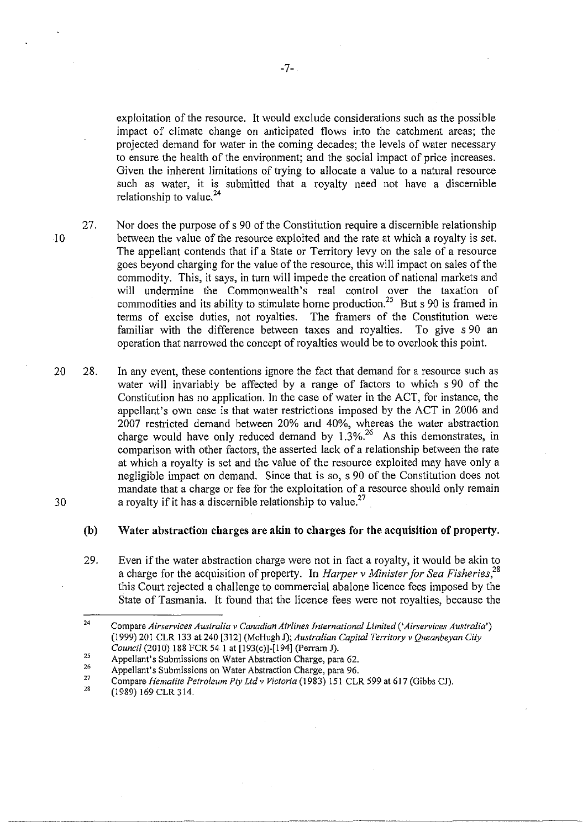exploitation of the resource. It would exclude considerations such as the possible impact of climate change on anticipated flows into the catchment areas; the projected demand for water in the coming decades; the levels of water necessary to ensure the health of the environment; and the social impact of price increases. Given the inherent limitations of trying to aIIocate a value to a natural resource such as water, it is submitted that a royalty need not have a discernible

27. 10 Nor does the purpose of s 90 of the Constitution require a discernible relationship between the value of the resource exploited and the rate at which a royalty is set. The appellant contends that if a State or Territory levy on the sale of a resource goes beyond charging for the value of the resource, this wiII impact on sales of the commodity. This, it says, in turn wiII impede the creation of national markets and will undermine the Commonwealth's real control over the taxation of commodities and its ability to stimulate home production.<sup>25</sup> But s 90 is framed in terms of excise duties, not royalties. The framers of the Constitution were familiar with the difference between taxes and royalties. To give s 90 an operation that narrowed the concept of royalties would be to overlook this point.

20 28. 30 In any event, these contentions ignore the fact that demand for a resource such as water will invariably be affected by a range of factors to which s 90 of the Constitution has no application. In the case of water in the ACT, for instance, the appeIIant's own case is that water restrictions imposed by the ACT in 2006 and 2007 restricted demand between 20% and 40%, whereas the water abstraction charge would have only reduced demand by  $1.3\%$ <sup>26</sup> As this demonstrates, in comparison with other factors, the asserted lack of a relationship between the rate at which a royalty is set and the value of the resource exploited may have only a negligible impact on demand. Since that is so, s 90 of the Constitution does not mandate that a charge or fee for the exploitation of a resource should only remain a royalty if it has a discernible relationship to value.<sup>27</sup>

(b) Water abstraction charges are akin to charges for the acquisition of property.

29. Even if the water abstraction charge were not in fact a royalty, it would be akin to a charge for the acquisition of property. In *Harper* v *Minister for Sea Fisheries,28*  this Court rejected a chaIIenge to commercial abalone licence fees imposed by the State of Tasmania. It found that the licence fees were not royalties, because the

-----.-~~~~~~~~~-~-

relationship to value.<sup>24</sup>

<sup>24</sup>  Compare Airservices Australia v Canadian Airlines International Limited ('Airservices Australia') (1999) 201 CLR 133 at 240 [312] (McHugh J); *Australian Capital Territory v Queanbeyan Cily Council* (2010) 188 FCR 54 I at[193(c)]-[194](Perram J).

<sup>25</sup>  Appellant's Submissions on Water Abstraction Charge, para 62.

<sup>26</sup>  Appellant's Submissions on Water Abstraction Charge, para 96.

<sup>27</sup>  Compare *Hematite Petroleum Pty Ltd v Victoria* (1983) 151 CLR 599 at 617 (Gibbs CJ).

<sup>28</sup>  (1989) 169 CLR314.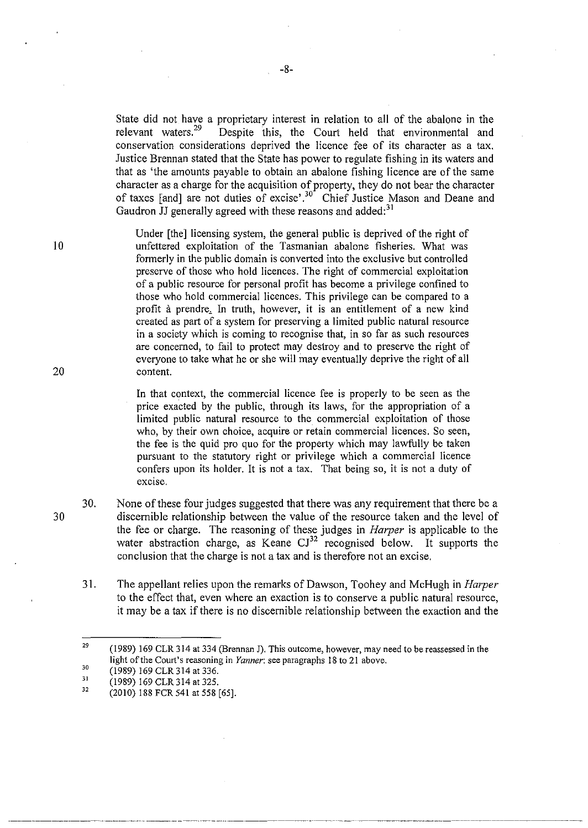State did not have a proprietary interest in relation to all of the abalone in the relevant waters.<sup>29</sup> Despite this, the Court held that environmental and Despite this, the Court held that environmental and conservation considerations deprived the licence fee of its character as a tax. Justice Brennan stated that the State has power to regulate fishing in its waters and that as 'the amounts payable to obtain an abalone fishing licence are of the same character as a charge for the acquisition of property, they do not bear the character of taxes [and] are not duties of excise' .30 Chief Justice Mason and Deane and Gaudron JJ generally agreed with these reasons and added:<sup>31</sup>

Under [the] licensing system, the general public is deprived of the right of unfettered exploitation of the Tasmanian abalone fisheries. What was formerly in the public domain is converted into the exclusive but controlled preserve of those who hold licences. The right of commercial exploitation of a public resource for personal profit has become a privilege confined to those who hold commercial licences. This privilege can be compared to a profit à prendre. In truth, however, it is an entitlement of a new kind created as part of a system for preserving a limited public natural resource in a society which is coming to recognise that, in so far as such resources are concerned, to fail to protect may destroy and to preserve the right of everyone to take what he or she will may eventually deprive the right of all content.

In that context, the commercial licence fee is properly to be seen as the price exacted by the public, through its laws, for the appropriation of a limited public natural resource to the commercial exploitation of those who, by their own choice, acquire or retain commercial licences. So seen, the fee is the quid pro quo for the property which may lawfully be taken pursuant to the statutory right or privilege which a commercial licence confers upon its holder. It is not a tax. That being so, it is not a duty of excise.

- 30. None of these four judges suggested that there was any requirement that there be a discernible relationship between the value of the resource taken and the level of the fee or charge. The reasoning of these judges in *Harper* is applicable to the water abstraction charge, as Keane  $\mathrm{CI}^{32}$  recognised below. It supports the conclusion that the charge is not a tax and is therefore not an excise.
- 31. The appellant relies upon the remarks of Dawson, Toohey and McHugh in *Harper*  to the effect that, even where an exaction is to conserve a public natural resource, it may be a tax if there is no discernible relationship between the exaction and the

10

20

30

-8-

<sup>29</sup>  30 (1989) 169 CLR 3 14 at 334 (Brennan J). This outcome, however. may need to be reassessed in the light of the Court's reasoning in *Yanner:* see paragraphs 18 to 21 above.

<sup>31</sup>  (1989) 169 CLR 314 at 336.

<sup>32</sup>  (1989) 169 CLR 314 at 325.

<sup>(2010) 188</sup> FCR 541 at 558 [65].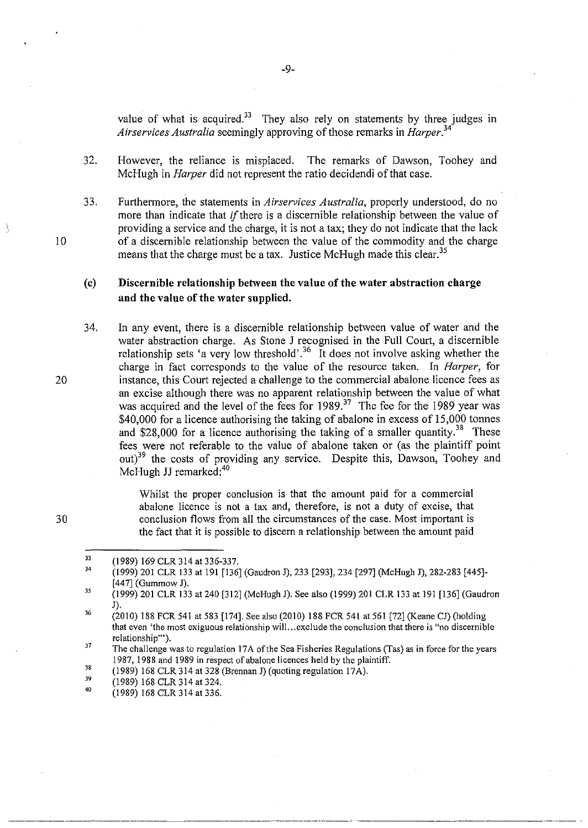value of what is acquired.<sup>33</sup> They also rely on statements by three judges in *Airservices Australia* seemingly approving of those remarks in *Harper. <sup>34</sup>*

32. However, the reliance is misplaced. The remarks of Dawson, Toohey and McHugh in *Harper* did not represent the ratio decidendi of that case.

33. Furthermore, the statements in *Airservices Australia,* properly understood, do no more than indicate that *if* there is a discernible relationship between the value of providing a service and the charge, it is not a tax; they do not indicate that the lack of a discernible relationship between the value of the commodity and the charge means that the charge must be a tax. Justice McHugh made this clear.<sup>35</sup>

# (c) Discernible relationship between the value of the water abstraction charge and the value of the water supplied.

34. In any event, there is a discernible relationship between value of water and the water abstraction charge. As Stone J recognised in the Full Court, a discernible relationship sets 'a very low threshold'.<sup>36</sup> It does not involve asking whether the charge in fact corresponds to the value of the resource taken. In *Harper,* for instance, this Court rejected a challenge to the commercial abalone licence fees as an excise although there was no apparent relationship between the value of what was acquired and the level of the fees for 1989.<sup>37</sup> The fee for the 1989 year was \$40,000 for a licence authorising the taking of abalone in excess of 15,000 tonnes and \$28,000 for a licence authorising the taking of a smaller quantity.<sup>38</sup> These fees were not referable to the value of abalone taken or (as the plaintiff point out)<sup>39</sup> the costs of providing any service. Despite this, Dawson, Toohey and McHugh JJ remarked: $40$ 

> Whilst the proper conclusion is that the amount paid for a commercial abalone licence is not a tax and, therefore, is not a duty of excise, that conclusion flows from all the circumstances of the case. Most important is the fact that it is possible to discern a relationship between the amount paid

-9-

30

20

10

À

<sup>33</sup>  (1989) 169 CLR 314 at 336-337.

J4 (1999) 201 CLR 133 at 191 [136] (Gaudron J), 233 [293], 234 [297] (McHugh J), 282-283 [445]- [447] (Gummow J).

<sup>35</sup>  (1999) 201 CLR 133 at 240 [312] (McHugh J). See also (1999) 201 CLR 133 at 191 [136] (Gaudron J).

<sup>36</sup>  (2010) 188 FCR 541 at 583 [174]. See also (2010) 188 FCR 541 at 561 [72](Keane CJ) (holding **that even 'the most exiguous relationship will ... exclude the conclusion that there is "no discernible relationship"').** 

<sup>37</sup>  The challenge was to regulation 17A of the Sea Fisheries Regulations (Tas) as in force for the years 1987, 1988 and 1989 in respect of abalone licences held by the plaintiff.

<sup>38</sup>  (1989) 168 CLR 314 at 328 (Brennan J) (quoting regulation 17 A).

<sup>39</sup>  (1989) 168 CLR 314 at 324.

<sup>40</sup>  (1989) 168 CLR 314 at 336.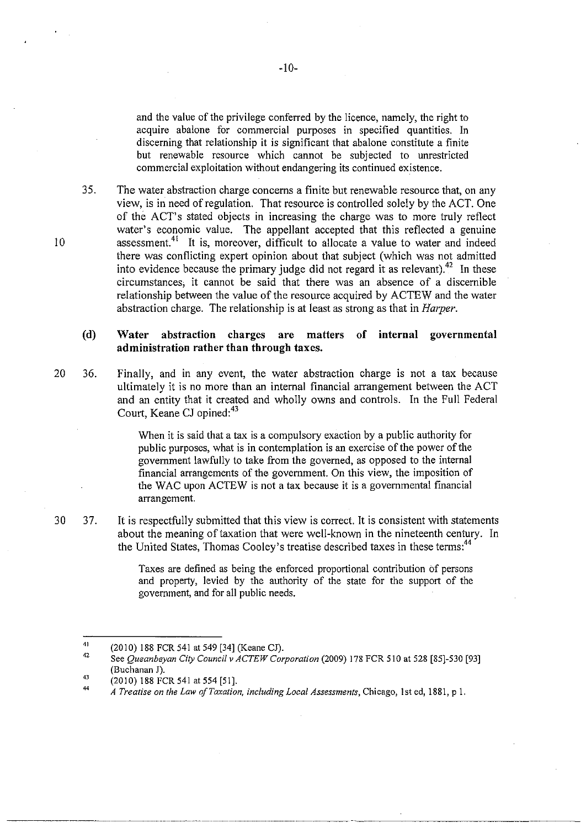and the value of the privilege conferred by the licence, namely, the right to acquire abalone for commercial purposes in specified quantities. In discerning that relationship it is significant that abalone constitute a finite but renewable resource which cannot be subjected to unrestricted commercial exploitation without endangering its continued existence.

35. The water abstraction charge concerns a finite but renewable resource that, on any view, is in need of regulation. That resource is controlled solely by the ACT. One of the ACT's stated objects in increasing the charge was to more truly reflect water's economic value. The appellant accepted that this reflected a genuine assessment.<sup>41</sup> It is, moreover, difficult to allocate a value to water and indeed there was conflicting expert opinion about that subject (which was not admitted into evidence because the primary judge did not regard it as relevant).<sup>42</sup> In these circumstances, it cannot be said that there was an absence of a discernible relationship between the value of the resource acquired by ACTEW and the water abstraction charge. The relationship is at least as strong as that in *Harper.* 

# (d) Water abstraction charges are matters of internal governmental administration rather than through taxes.

20 36. Finally, and in any event, the water abstraction charge is not a tax because ultimately it is no more than an internal financial arrangement between the ACT and an entity that it created and wholly owns and controls. In the Full Federal Court, Keane CJ opined:<sup>43</sup>

> When it is said that a tax is a compulsory exaction by a public authority for public purposes, what is in contemplation is an exercise of the power of the government lawfully to take from the governed, as opposed to the internal financial arrangements of the government. On this view, the imposition of the WAC upon ACTEW is not a tax because it is a governmental financial arrangement.

37. It is respectfully submitted that this view is correct. It is consistent with statements about the meaning of taxation that were well-known in the nineteenth century. In the United States, Thomas Cooley's treatise described taxes in these terms:<sup>44</sup>

> Taxes are defined as being the enforced proportional contribution bf persons and property, levied by the authority of the state for the support of the government, and for all public needs.

10

<sup>4</sup>J (2010) 188 FCR 541 at 549 [34] (Keane CJ).

<sup>42</sup>  See *Queanbeyan City Council* v *ACTEW Corporation* (2009) 178 FCR 510 at 528 [85]-530 [93] (Buchanan J).

<sup>43</sup>  (2010) 188 FCR 541 at 554 [51].

<sup>44</sup>  *A Treatise on the Law o/Taxation, including Local Assessments,* Chicago, 1st ed, 1881, p 1.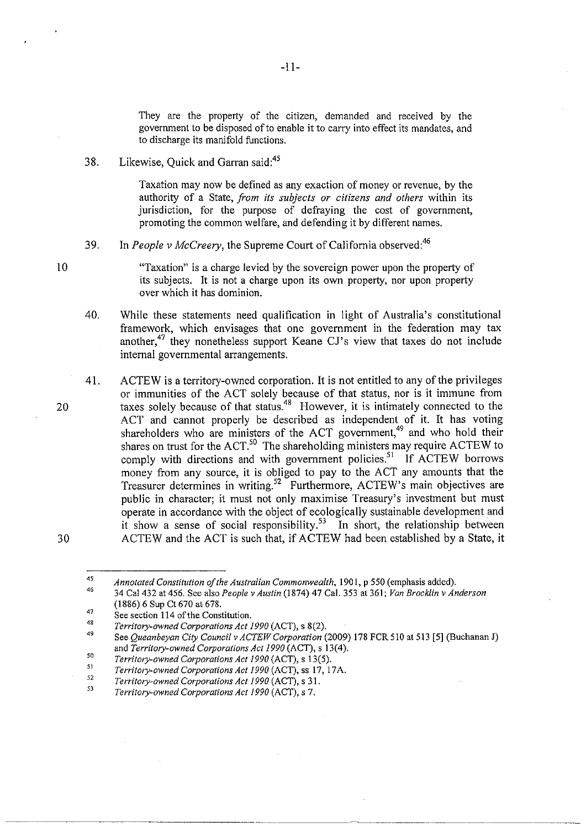They are the property of the citizen, demanded and received by the government to be disposed of to enable it to carry into effect its mandates, and to discharge its manifold functions.

38. Likewise, Ouick and Garran said:<sup>45</sup>

Taxation may now be defined as any exaction of money or revenue, by the authority of a State, *from its subjects or citizens and others* within its jurisdiction, for the purpose of defraying the cost of government, promoting the common welfare, and defending it by different names.

39. In *People* v *McCreery,* the Supreme Court of California observed:46

10

20

30

"Taxation" is a charge levied by the sovereign power upon the property of its subjects. It is not a charge upon its own property, nor upon property over which it has dominion.

40. While these statements need qualification in light of Australia's constitutional framework, which envisages that one government in the federation may tax another,47 they nonetheless support Keane *Cl's* view that taxes do not include internal governmental arrangements.

41. ACTEW is a territory-owned corporation. It is not entitled to any of the privileges or immunities of the ACT solely because of that status, nor is it immune from taxes solely because of that status.<sup>48</sup> However, it is intimately connected to the ACT and cannot properly be described as independent of it. It has voting shareholders who are ministers of the ACT government,<sup>49</sup> and who hold their shares on trust for the ACT.<sup>50</sup> The shareholding ministers may require ACTEW to comply with directions and with government policies.<sup>51</sup> If ACTEW borrows money from any source, it is obliged to pay to the ACT any amounts that the Treasurer determines in writing.<sup>52</sup> Furthermore, ACTEW's main objectives are public in character; it must not only maximise Treasury's investment but must operate in accordance with the object of ecologically sustainable development and it show a sense of social responsibility.<sup>53</sup> In short, the relationship between ACTEW and the ACT is such that, if ACTEW had been established by a State, it

<sup>45</sup>  *Annotated Constitution of the Australian Commonwealth,* 1901, P 550 (emphasis added).

<sup>46</sup>  47 34 Cal432 at 456. See also *People v Austin* (1874) 47 Cal. 353 at 361; *Van Brock/in v Anderson*  (1886) 6 Sup Ct 670 at 678.

<sup>48</sup>  See section 114 of the Constitution.

*Territory-owned Corporations Act 1990 (ACT),* s 8(2).

<sup>49</sup>  See *Queanbeyan City Council v ACTEW Corporation* (2009) 178 FCR 510 at 513 [5] (Buchanan J) and *Territory-owned Corporations Act 1990 (ACT),* s 13(4).

<sup>50</sup>  *Territory-owned Corporations Act 1990* (ACT), s 13(5).

 $\frac{51}{52}$ *Territory-owned Corporations Act 1990 (ACT),* ss 17, 17 A.

<sup>53</sup>  *Territory-owned Corporations Act 1990 (ACT),* s 31.

*Territory-owned Corporations Act 1990 (ACT),* s 7.